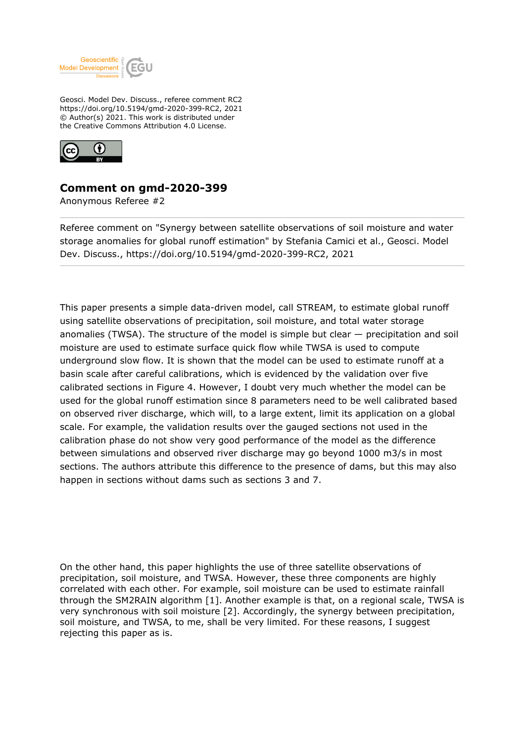

Geosci. Model Dev. Discuss., referee comment RC2 https://doi.org/10.5194/gmd-2020-399-RC2, 2021 © Author(s) 2021. This work is distributed under the Creative Commons Attribution 4.0 License.



## **Comment on gmd-2020-399**

Anonymous Referee #2

Referee comment on "Synergy between satellite observations of soil moisture and water storage anomalies for global runoff estimation" by Stefania Camici et al., Geosci. Model Dev. Discuss., https://doi.org/10.5194/gmd-2020-399-RC2, 2021

This paper presents a simple data-driven model, call STREAM, to estimate global runoff using satellite observations of precipitation, soil moisture, and total water storage anomalies (TWSA). The structure of the model is simple but clear  $-$  precipitation and soil moisture are used to estimate surface quick flow while TWSA is used to compute underground slow flow. It is shown that the model can be used to estimate runoff at a basin scale after careful calibrations, which is evidenced by the validation over five calibrated sections in Figure 4. However, I doubt very much whether the model can be used for the global runoff estimation since 8 parameters need to be well calibrated based on observed river discharge, which will, to a large extent, limit its application on a global scale. For example, the validation results over the gauged sections not used in the calibration phase do not show very good performance of the model as the difference between simulations and observed river discharge may go beyond 1000 m3/s in most sections. The authors attribute this difference to the presence of dams, but this may also happen in sections without dams such as sections 3 and 7.

On the other hand, this paper highlights the use of three satellite observations of precipitation, soil moisture, and TWSA. However, these three components are highly correlated with each other. For example, soil moisture can be used to estimate rainfall through the SM2RAIN algorithm [1]. Another example is that, on a regional scale, TWSA is very synchronous with soil moisture [2]. Accordingly, the synergy between precipitation, soil moisture, and TWSA, to me, shall be very limited. For these reasons, I suggest rejecting this paper as is.